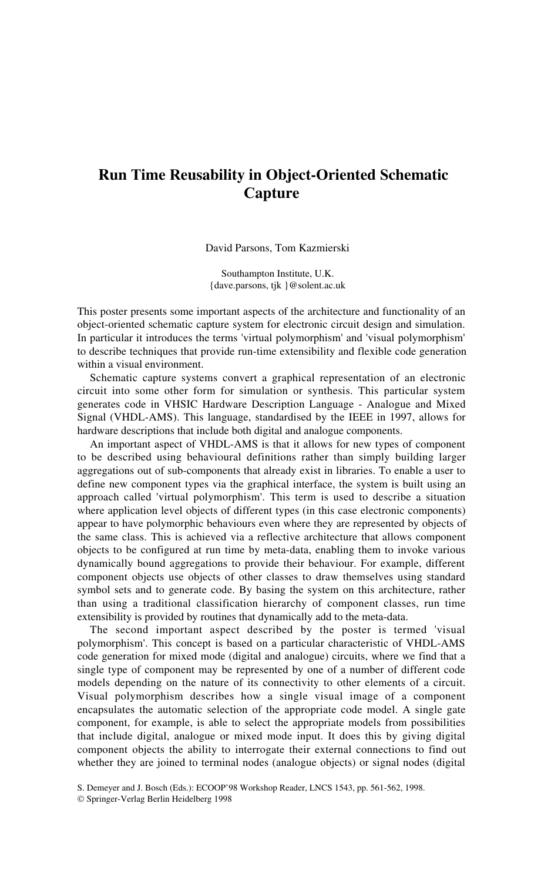## **Run Time Reusability in Object-Oriented Schematic Capture**

David Parsons, Tom Kazmierski

Southampton Institute, U.K. {dave.parsons, tjk }@solent.ac.uk

This poster presents some important aspects of the architecture and functionality of an object-oriented schematic capture system for electronic circuit design and simulation. In particular it introduces the terms 'virtual polymorphism' and 'visual polymorphism' to describe techniques that provide run-time extensibility and flexible code generation within a visual environment.

Schematic capture systems convert a graphical representation of an electronic circuit into some other form for simulation or synthesis. This particular system generates code in VHSIC Hardware Description Language - Analogue and Mixed Signal (VHDL-AMS). This language, standardised by the IEEE in 1997, allows for hardware descriptions that include both digital and analogue components.

An important aspect of VHDL-AMS is that it allows for new types of component to be described using behavioural definitions rather than simply building larger aggregations out of sub-components that already exist in libraries. To enable a user to define new component types via the graphical interface, the system is built using an approach called 'virtual polymorphism'. This term is used to describe a situation where application level objects of different types (in this case electronic components) appear to have polymorphic behaviours even where they are represented by objects of the same class. This is achieved via a reflective architecture that allows component objects to be configured at run time by meta-data, enabling them to invoke various dynamically bound aggregations to provide their behaviour. For example, different component objects use objects of other classes to draw themselves using standard symbol sets and to generate code. By basing the system on this architecture, rather than using a traditional classification hierarchy of component classes, run time extensibility is provided by routines that dynamically add to the meta-data.

The second important aspect described by the poster is termed 'visual polymorphism'. This concept is based on a particular characteristic of VHDL-AMS code generation for mixed mode (digital and analogue) circuits, where we find that a single type of component may be represented by one of a number of different code models depending on the nature of its connectivity to other elements of a circuit. Visual polymorphism describes how a single visual image of a component encapsulates the automatic selection of the appropriate code model. A single gate component, for example, is able to select the appropriate models from possibilities that include digital, analogue or mixed mode input. It does this by giving digital component objects the ability to interrogate their external connections to find out whether they are joined to terminal nodes (analogue objects) or signal nodes (digital

S. Demeyer and J. Bosch (Eds.): ECOOP'98 Workshop Reader, LNCS 1543, pp. 561-562, 1998.

<sup>©</sup> Springer-Verlag Berlin Heidelberg 1998